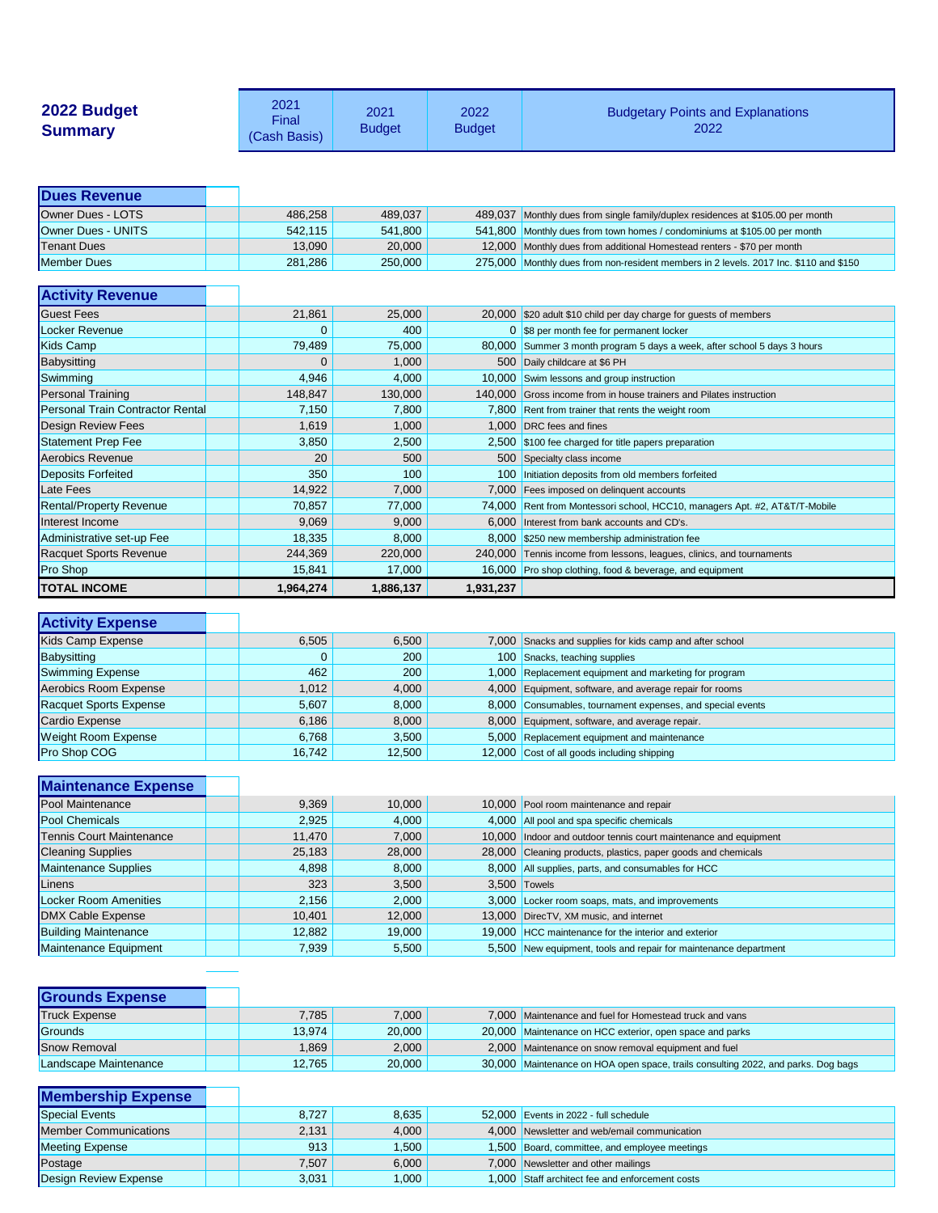| 2022 Budget<br><b>Summary</b>           | 2021<br>Final<br>(Cash Basis) | 2021<br><b>Budget</b> | 2022<br><b>Budget</b> | <b>Budgetary Points and Explanations</b><br>2022                                      |
|-----------------------------------------|-------------------------------|-----------------------|-----------------------|---------------------------------------------------------------------------------------|
| <b>Dues Revenue</b>                     |                               |                       |                       |                                                                                       |
| Owner Dues - LOTS                       | 486,258                       | 489,037               | 489,037               | Monthly dues from single family/duplex residences at \$105.00 per month               |
| Owner Dues - UNITS                      | 542,115                       | 541,800               | 541,800               | Monthly dues from town homes / condominiums at \$105.00 per month                     |
| <b>Tenant Dues</b>                      | 13,090                        | 20,000                | 12,000                | Monthly dues from additional Homestead renters - \$70 per month                       |
| Member Dues                             | 281,286                       | 250,000               |                       | 275,000 Monthly dues from non-resident members in 2 levels. 2017 Inc. \$110 and \$150 |
| <b>Activity Revenue</b>                 |                               |                       |                       |                                                                                       |
| <b>Guest Fees</b>                       | 21,861                        | 25,000                |                       | 20,000 \$20 adult \$10 child per day charge for guests of members                     |
| Locker Revenue                          | $\overline{0}$                | 400                   |                       | 0 \$8 per month fee for permanent locker                                              |
| Kids Camp                               | 79,489                        | 75,000                | 80,000                | Summer 3 month program 5 days a week, after school 5 days 3 hours                     |
| Babysitting                             | 0                             | 1,000                 |                       | 500 Daily childcare at \$6 PH                                                         |
| Swimming                                | 4,946                         | 4,000                 | 10,000                | Swim lessons and group instruction                                                    |
| <b>Personal Training</b>                | 148,847                       | 130,000               | 140,000               | Gross income from in house trainers and Pilates instruction                           |
| <b>Personal Train Contractor Rental</b> | 7,150                         | 7,800                 |                       | 7,800 Rent from trainer that rents the weight room                                    |
| <b>Design Review Fees</b>               | 1,619                         | 1,000                 | 1,000                 | DRC fees and fines                                                                    |
| <b>Statement Prep Fee</b>               | 3,850                         | 2,500                 |                       | 2,500 \$100 fee charged for title papers preparation                                  |
| Aerobics Revenue                        | 20                            | 500                   | 500                   | Specialty class income                                                                |
| <b>Deposits Forfeited</b>               | 350                           | 100                   | 100 <sub>1</sub>      | Initiation deposits from old members forfeited                                        |
| Late Fees                               | 14,922                        | 7,000                 | 7,000                 | Fees imposed on delinquent accounts                                                   |
| <b>Rental/Property Revenue</b>          | 70,857                        | 77,000                |                       | 74,000 Rent from Montessori school, HCC10, managers Apt. #2, AT&T/T-Mobile            |
| Interest Income                         | 9,069                         | 9,000                 | 6,000                 | Interest from bank accounts and CD's.                                                 |
| Administrative set-up Fee               | 18,335                        | 8,000                 |                       | 8,000 \$250 new membership administration fee                                         |
| <b>Racquet Sports Revenue</b>           | 244,369                       | 220,000               | 240,000               | Tennis income from lessons, leagues, clinics, and tournaments                         |
| <b>Pro Shop</b>                         | 15,841                        | 17,000                |                       | 16,000 Pro shop clothing, food & beverage, and equipment                              |
| <b>TOTAL INCOME</b>                     | 1,964,274                     | 1,886,137             | 1,931,237             |                                                                                       |
| <b>Activity Expense</b>                 |                               |                       |                       |                                                                                       |
| <b>Kids Camp Expense</b>                | 6,505                         | 6,500                 | 7,000                 | Snacks and supplies for kids camp and after school                                    |
| <b>Babysitting</b>                      | $\overline{0}$                | 200                   |                       | 100 Snacks, teaching supplies                                                         |
| <b>Swimming Expense</b>                 | 462                           | 200                   |                       | 1,000 Replacement equipment and marketing for program                                 |

| <b>Weight Room Expense</b> | 6,768  | 3,500  | 5,000   | Replacement equipment and maintenance |
|----------------------------|--------|--------|---------|---------------------------------------|
| <b>Pro Shop COG</b>        | 16,742 | 12,500 | 12,000丨 | Cost of all goods including shipping  |

Aerobics Room Expense **1,012** 1,012 4,000 4,000 Equipment, software, and average repair for rooms

Cardio Expense **19. In the Cardio Expense** 6,186 8,000 8,000 8,000 Equipment, software, and average repair.

Racquet Sports Expense **1992 120 States 1984** 5,607 8,000 8,000 Consumables, tournament expenses, and special events

| <b>Maintenance Expense</b>      |        |        |                                                                  |
|---------------------------------|--------|--------|------------------------------------------------------------------|
| <b>Pool Maintenance</b>         | 9,369  | 10,000 | 10,000 Pool room maintenance and repair                          |
| <b>Pool Chemicals</b>           | 2,925  | 4,000  | 4,000 All pool and spa specific chemicals                        |
| <b>Tennis Court Maintenance</b> | 11,470 | 7,000  | 10,000 Indoor and outdoor tennis court maintenance and equipment |
| <b>Cleaning Supplies</b>        | 25,183 | 28,000 | 28,000 Cleaning products, plastics, paper goods and chemicals    |
| Maintenance Supplies            | 4,898  | 8,000  | 8,000 All supplies, parts, and consumables for HCC               |
| Linens                          | 323    | 3,500  | 3,500 Towels                                                     |
| Locker Room Amenities           | 2,156  | 2,000  | 3,000 Locker room soaps, mats, and improvements                  |
| <b>DMX Cable Expense</b>        | 10,401 | 12,000 | 13,000 DirecTV, XM music, and internet                           |
| <b>Building Maintenance</b>     | 12,882 | 19,000 | 19,000 HCC maintenance for the interior and exterior             |
| Maintenance Equipment           | 7,939  | 5,500  | 5,500 New equipment, tools and repair for maintenance department |

| <b>Grounds Expense</b> |        |        |                                                                                   |
|------------------------|--------|--------|-----------------------------------------------------------------------------------|
| <b>Truck Expense</b>   | 7,785  | 7,000  | 7,000 Maintenance and fuel for Homestead truck and vans                           |
| Grounds                | 13,974 | 20,000 | 20,000 Maintenance on HCC exterior, open space and parks                          |
| <b>Snow Removal</b>    | .869   | 2,000  | 2,000 Maintenance on snow removal equipment and fuel                              |
| Landscape Maintenance  | 12,765 | 20,000 | 30,000 Maintenance on HOA open space, trails consulting 2022, and parks. Dog bags |

| <b>Membership Expense</b>    |       |       |                                                 |
|------------------------------|-------|-------|-------------------------------------------------|
| <b>Special Events</b>        | 8,727 | 8,635 | 52,000 Events in 2022 - full schedule           |
| <b>Member Communications</b> | 2,131 | 4,000 | 4,000 Newsletter and web/email communication    |
| <b>Meeting Expense</b>       | 913   | 1,500 | 1,500 Board, committee, and employee meetings   |
| Postage                      | 7,507 | 6,000 | 7,000 Newsletter and other mailings             |
| Design Review Expense        | 3,031 | 1,000 | 1,000 Staff architect fee and enforcement costs |